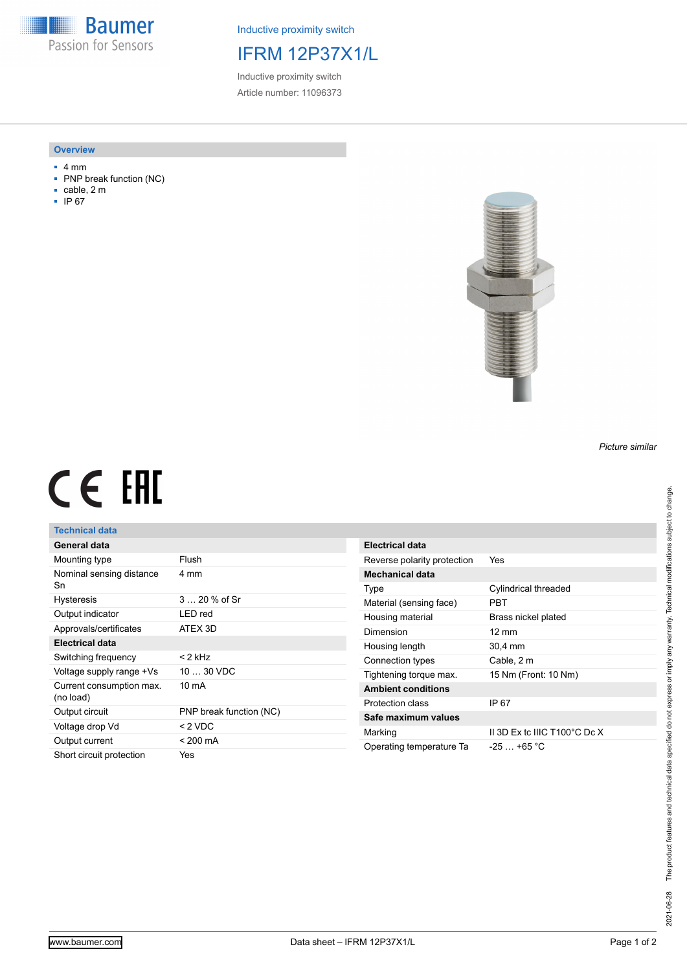**Baumer** Passion for Sensors

Inductive proximity switch

# IFRM 12P37X1/L

Inductive proximity switch Article number: 11096373

#### **Overview**

- 4 mm
- PNP break function (NC)
- cable, 2 m
- IP 67



### *Picture similar*

# CE EHL

## **Technical data**

| General data                          |                         |
|---------------------------------------|-------------------------|
| Mounting type                         | Flush                   |
| Nominal sensing distance<br>Sn        | 4 mm                    |
| <b>Hysteresis</b>                     | $320%$ of Sr            |
| Output indicator                      | LED red                 |
| Approvals/certificates                | ATEX 3D                 |
| Electrical data                       |                         |
| Switching frequency                   | < 2 kHz                 |
| Voltage supply range +Vs              | $1030$ VDC              |
| Current consumption max.<br>(no load) | 10 mA                   |
| Output circuit                        | PNP break function (NC) |
| Voltage drop Vd                       | $< 2$ VDC               |
| Output current                        | $< 200 \text{ mA}$      |
| Short circuit protection              | Yes                     |

| Electrical data             |                                         |
|-----------------------------|-----------------------------------------|
| Reverse polarity protection | Yes                                     |
| Mechanical data             |                                         |
| Type                        | Cylindrical threaded                    |
| Material (sensing face)     | <b>PRT</b>                              |
| Housing material            | Brass nickel plated                     |
| Dimension                   | $12 \text{ mm}$                         |
| Housing length              | 30,4 mm                                 |
| Connection types            | Cable, 2 m                              |
| Tightening torque max.      | 15 Nm (Front: 10 Nm)                    |
| <b>Ambient conditions</b>   |                                         |
| Protection class            | IP 67                                   |
| Safe maximum values         |                                         |
| Marking                     | II 3D Ex to IIIC T100 $^{\circ}$ C Dc X |
| Operating temperature Ta    | $-25 + 65$ °C                           |